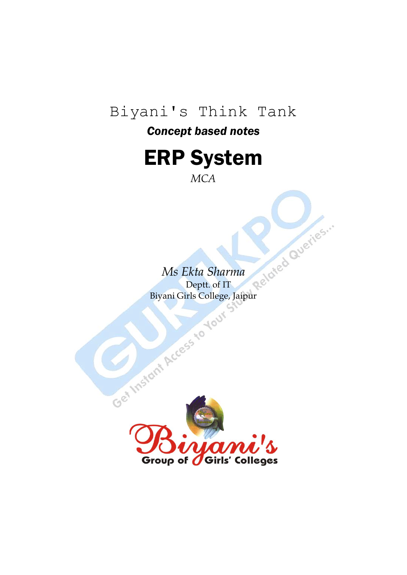# Biyani's Think Tank

## *Concept based notes*



*MCA*

**Ms Ekta Sharma**<br>Deptt. of IT<br>Vani Girls College Jaimet Biyani Girls College, Jaipur

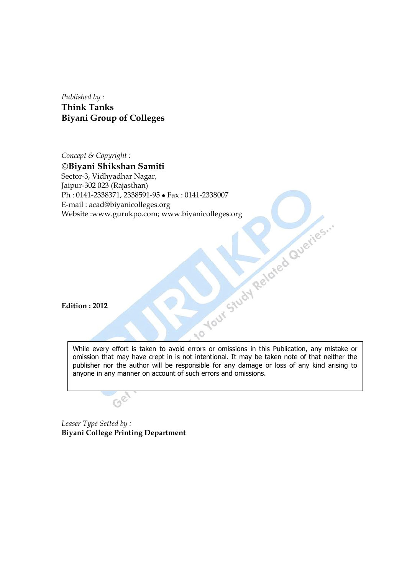*Published by :* **Think Tanks Biyani Group of Colleges**

*Concept & Copyright :* **Biyani Shikshan Samiti** Sector-3, Vidhyadhar Nagar, Jaipur-302 023 (Rajasthan) Ph : 0141-2338371, 2338591-95 • Fax : 0141-2338007<br>
E-mail : acad@biyanicolleges.org<br>
Website :www.gurukpo.com; www.biyanicolleges.org<br>
Edition : 2012 E-mail : acad@biyanicolleges.org Website :www.gurukpo.com; www.biyanicolleges.org

**Edition : 2012**

While every effort is taken to avoid errors or omissions in this Publication, any mistake or omission that may have crept in is not intentional. It may be taken note of that neither the publisher nor the author will be responsible for any damage or loss of any kind arising to anyone in any manner on account of such errors and omissions.

 $\overline{\phantom{a}}$ 

*Leaser Type Setted by :* **Biyani College Printing Department**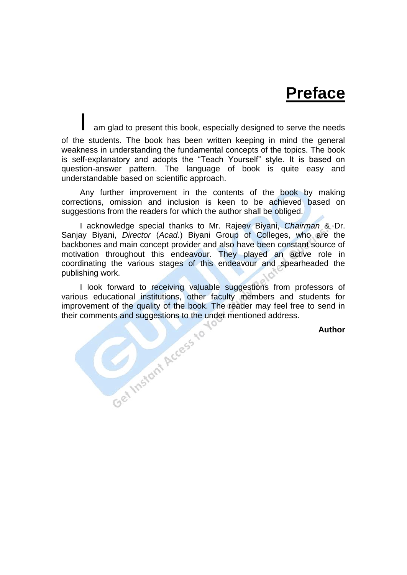# **Preface**

am glad to present this book, especially designed to serve the needs of the students. The book has been written keeping in mind the general weakness in understanding the fundamental concepts of the topics. The book is self-explanatory and adopts the "Teach Yourself" style. It is based on question-answer pattern. The language of book is quite easy and understandable based on scientific approach.

Any further improvement in the contents of the book by making corrections, omission and inclusion is keen to be achieved based on suggestions from the readers for which the author shall be obliged.

I acknowledge special thanks to Mr. Rajeev Biyani, *Chairman* & Dr. Sanjay Biyani, *Director* (*Acad.*) Biyani Group of Colleges, who are the backbones and main concept provider and also have been constant source of motivation throughout this endeavour. They played an active role in coordinating the various stages of this endeavour and spearheaded the publishing work.

I look forward to receiving valuable suggestions from professors of<br>us educational institutions, other faculty members and students for<br>ovement of the quality of the book. The reader may feel free to send in<br>comments and various educational institutions, other faculty members and students for improvement of the quality of the book. The reader may feel free to send in their comments and suggestions to the under mentioned address.

**Author**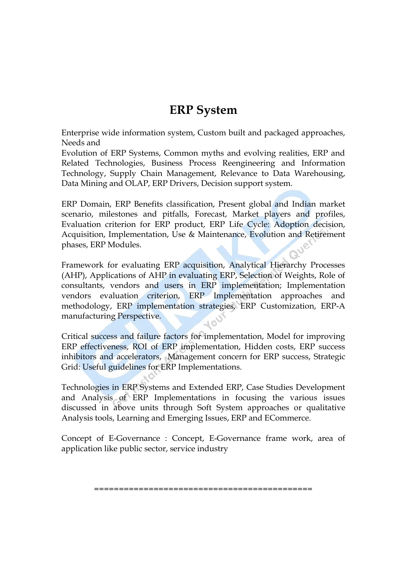## **ERP System**

Enterprise wide information system, Custom built and packaged approaches, Needs and

Evolution of ERP Systems, Common myths and evolving realities, ERP and Related Technologies, Business Process Reengineering and Information Technology, Supply Chain Management, Relevance to Data Warehousing, Data Mining and OLAP, ERP Drivers, Decision support system.

ERP Domain, ERP Benefits classification, Present global and Indian market scenario, milestones and pitfalls, Forecast, Market players and profiles, Evaluation criterion for ERP product, ERP Life Cycle: Adoption decision, Acquisition, Implementation, Use & Maintenance, Evolution and Retirement phases, ERP Modules. phases, ERP Modules.

Framework for evaluating ERP acquisition, Analytical Hierarchy Processes (AHP), Applications of AHP in evaluating ERP, Selection of Weights, Role of consultants, vendors and users in ERP implementation; Implementation vendors evaluation criterion, ERP Implementation approaches and methodology, ERP implementation strategies, ERP Customization, ERP-A manufacturing Perspective.

Critical success and failure factors for implementation, Model for improving ERP effectiveness, ROI of ERP implementation, Hidden costs, ERP success inhibitors and accelerators, Management concern for ERP success, Strategic Grid: Useful guidelines for ERP Implementations.

Technologies in ERP Systems and Extended ERP, Case Studies Development and Analysis of ERP Implementations in focusing the various issues discussed in above units through Soft System approaches or qualitative Analysis tools, Learning and Emerging Issues, ERP and ECommerce.

Concept of E-Governance : Concept, E-Governance frame work, area of application like public sector, service industry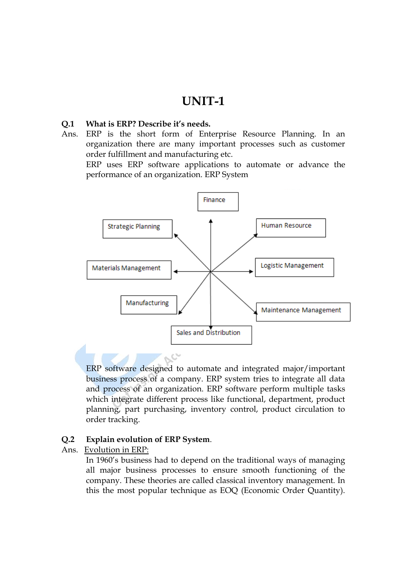## **UNIT-1**

### **Q.1 What is ERP? Describe it's needs.**

Ans. ERP is the short form of Enterprise Resource Planning. In an organization there are many important processes such as customer order fulfillment and manufacturing etc.

ERP uses ERP software applications to automate or advance the performance of an organization. ERP System



ERP software designed to automate and integrated major/important business process of a company. ERP system tries to integrate all data and process of an organization. ERP software perform multiple tasks which integrate different process like functional, department, product planning, part purchasing, inventory control, product circulation to order tracking.

#### **Q.2 Explain evolution of ERP System**.

Ans. Evolution in ERP:

In 1960"s business had to depend on the traditional ways of managing all major business processes to ensure smooth functioning of the company. These theories are called classical inventory management. In this the most popular technique as EOQ (Economic Order Quantity).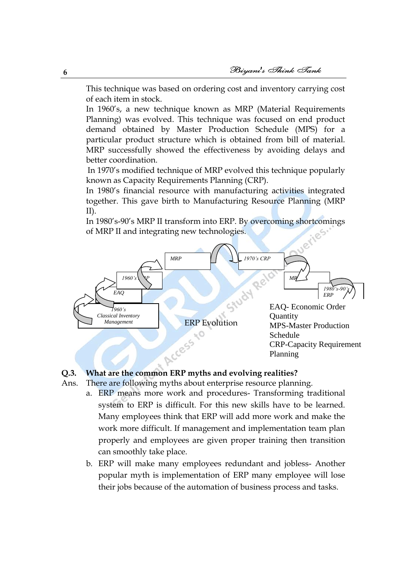This technique was based on ordering cost and inventory carrying cost of each item in stock.

In 1960"s, a new technique known as MRP (Material Requirements Planning) was evolved. This technique was focused on end product demand obtained by Master Production Schedule (MPS) for a particular product structure which is obtained from bill of material. MRP successfully showed the effectiveness by avoiding delays and better coordination.

In 1970"s modified technique of MRP evolved this technique popularly known as Capacity Requirements Planning (CRP).

In 1980"s financial resource with manufacturing activities integrated together. This gave birth to Manufacturing Resource Planning (MRP II).

In 1980"s-90"s MRP II transform into ERP. By overcoming shortcomings of MRP II and integrating new technologies.



## **Q.3. What are the common ERP myths and evolving realities?**

- Ans. There are following myths about enterprise resource planning.
	- a. ERP means more work and procedures- Transforming traditional system to ERP is difficult. For this new skills have to be learned. Many employees think that ERP will add more work and make the work more difficult. If management and implementation team plan properly and employees are given proper training then transition can smoothly take place.
	- b. ERP will make many employees redundant and jobless- Another popular myth is implementation of ERP many employee will lose their jobs because of the automation of business process and tasks.

**6**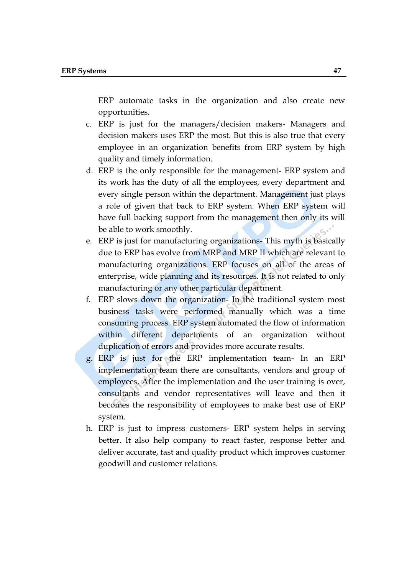ERP automate tasks in the organization and also create new opportunities.

- c. ERP is just for the managers/decision makers- Managers and decision makers uses ERP the most. But this is also true that every employee in an organization benefits from ERP system by high quality and timely information.
- d. ERP is the only responsible for the management- ERP system and its work has the duty of all the employees, every department and every single person within the department. Management just plays a role of given that back to ERP system. When ERP system will have full backing support from the management then only its will be able to work smoothly.
- e. ERP is just for manufacturing organizations- This myth is basically due to ERP has evolve from MRP and MRP II which are relevant to manufacturing organizations. ERP focuses on all of the areas of enterprise, wide planning and its resources. It is not related to only manufacturing or any other particular department.
- f. ERP slows down the organization- In the traditional system most business tasks were performed manually which was a time consuming process. ERP system automated the flow of information within different departments of an organization without duplication of errors and provides more accurate results.
- g. ERP is just for the ERP implementation team- In an ERP implementation team there are consultants, vendors and group of employees. After the implementation and the user training is over, consultants and vendor representatives will leave and then it becomes the responsibility of employees to make best use of ERP system.
- h. ERP is just to impress customers- ERP system helps in serving better. It also help company to react faster, response better and deliver accurate, fast and quality product which improves customer goodwill and customer relations.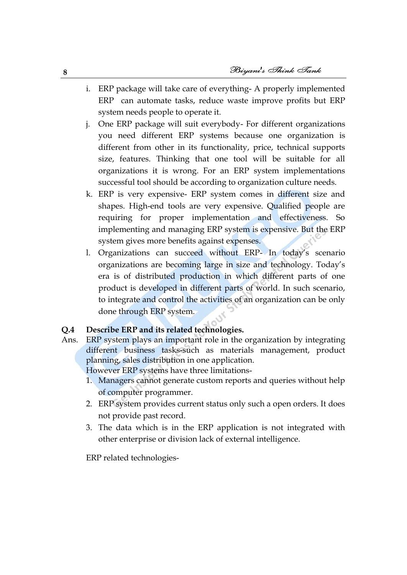- i. ERP package will take care of everything- A properly implemented ERP can automate tasks, reduce waste improve profits but ERP system needs people to operate it.
- j. One ERP package will suit everybody- For different organizations you need different ERP systems because one organization is different from other in its functionality, price, technical supports size, features. Thinking that one tool will be suitable for all organizations it is wrong. For an ERP system implementations successful tool should be according to organization culture needs.
- k. ERP is very expensive- ERP system comes in different size and shapes. High-end tools are very expensive. Qualified people are requiring for proper implementation and effectiveness. So implementing and managing ERP system is expensive. But the ERP system gives more benefits against expenses.
- l. Organizations can succeed without ERP- In today"s scenario organizations are becoming large in size and technology. Today"s era is of distributed production in which different parts of one product is developed in different parts of world. In such scenario, to integrate and control the activities of an organization can be only done through ERP system.

## **Q.4 Describe ERP and its related technologies.**

Ans. ERP system plays an important role in the organization by integrating different business tasks-such as materials management, product planning, sales distribution in one application.

However ERP systems have three limitations-

- 1. Managers cannot generate custom reports and queries without help of computer programmer.
- 2. ERP system provides current status only such a open orders. It does not provide past record.
- 3. The data which is in the ERP application is not integrated with other enterprise or division lack of external intelligence.

ERP related technologies-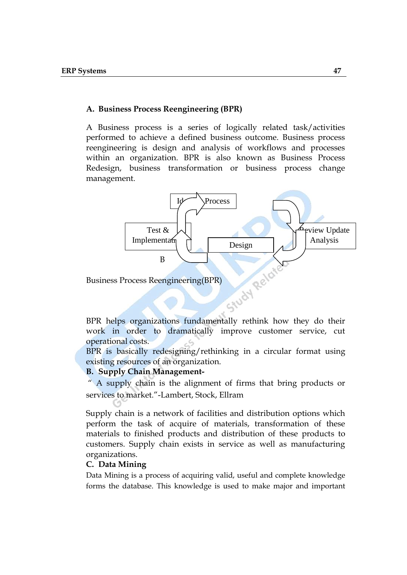#### **A. Business Process Reengineering (BPR)**

A Business process is a series of logically related task/activities performed to achieve a defined business outcome. Business process reengineering is design and analysis of workflows and processes within an organization. BPR is also known as Business Process Redesign, business transformation or business process change management.



Business Process Reengineering(BPR)

work in order to dramatically improve customer service, cut operational costs.

BPR is basically redesigning/rethinking in a circular format using existing resources of an organization.

#### **B. Supply Chain Management-**

" A supply chain is the alignment of firms that bring products or services to market."-Lambert, Stock, Ellram

Supply chain is a network of facilities and distribution options which perform the task of acquire of materials, transformation of these materials to finished products and distribution of these products to customers. Supply chain exists in service as well as manufacturing organizations.

#### **C. Data Mining**

Data Mining is a process of acquiring valid, useful and complete knowledge forms the database. This knowledge is used to make major and important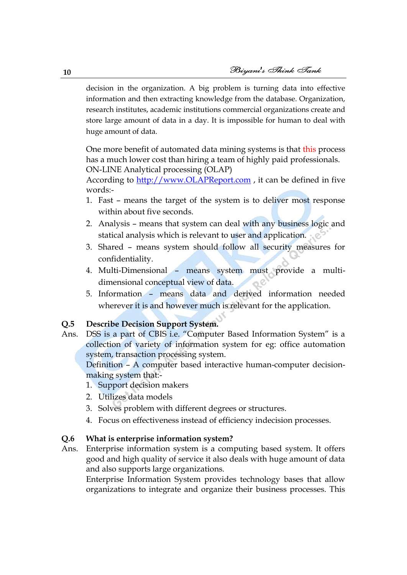decision in the organization. A big problem is turning data into effective information and then extracting knowledge from the database. Organization, research institutes, academic institutions commercial organizations create and store large amount of data in a day. It is impossible for human to deal with huge amount of data.

One more benefit of automated data mining systems is that this process has a much lower cost than hiring a team of highly paid professionals. ON-LINE Analytical processing (OLAP)

According to [http://www.OLAPReport.com](http://www.olapreport.com/), it can be defined in five words:-

- 1. Fast means the target of the system is to deliver most response within about five seconds.
- 2. Analysis means that system can deal with any business logic and statical analysis which is relevant to user and application.
- 3. Shared means system should follow all security measures for confidentiality.
- 4. Multi-Dimensional means system must provide a multidimensional conceptual view of data.
- 5. Information means data and derived information needed wherever it is and however much is relevant for the application.

### **Q.5 Describe Decision Support System.**

Ans. DSS is a part of CBIS i.e. "Computer Based Information System" is a collection of variety of information system for eg: office automation system, transaction processing system.

Definition – A computer based interactive human-computer decisionmaking system that:-

- 1. Support decision makers
- 2. Utilizes data models
- 3. Solves problem with different degrees or structures.
- 4. Focus on effectiveness instead of efficiency indecision processes.

#### **Q.6 What is enterprise information system?**

Ans. Enterprise information system is a computing based system. It offers good and high quality of service it also deals with huge amount of data and also supports large organizations.

Enterprise Information System provides technology bases that allow organizations to integrate and organize their business processes. This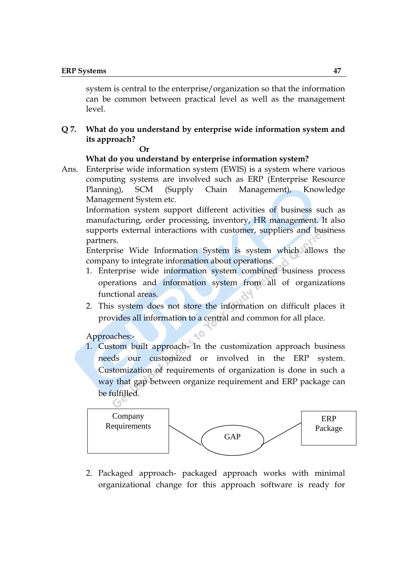system is central to the enterprise/organization so that the information can be common between practical level as well as the management level.

## **Q 7. What do you understand by enterprise wide information system and its approach?**

#### **Or**

#### **What do you understand by enterprise information system?**

Ans. Enterprise wide information system (EWIS) is a system where various computing systems are involved such as ERP (Enterprise Resource Planning), SCM (Supply Chain Management), Knowledge Management System etc.

Information system support different activities of business such as manufacturing, order processing, inventory, HR management. It also supports external interactions with customer, suppliers and business partners.

Enterprise Wide Information System is system which allows the company to integrate information about operations.

- 1. Enterprise wide information system combined business process operations and information system from all of organizations functional areas.
- 2. This system does not store the information on difficult places it provides all information to a central and common for all place.

#### Approaches:-

1. Custom built approach- In the customization approach business needs our customized or involved in the ERP system. Customization of requirements of organization is done in such a way that gap between organize requirement and ERP package can be fulfilled.



2. Packaged approach- packaged approach works with minimal organizational change for this approach software is ready for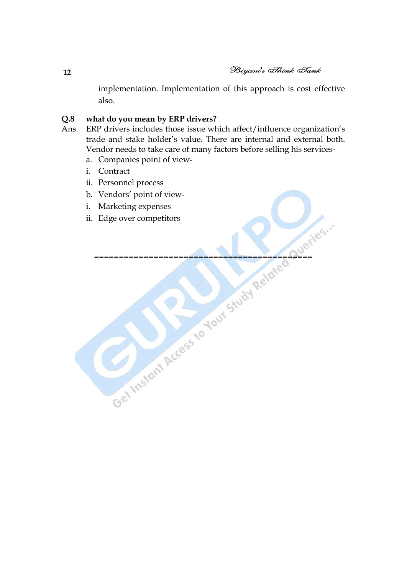implementation. Implementation of this approach is cost effective also.

## **Q.8 what do you mean by ERP drivers?**

- Ans. ERP drivers includes those issue which affect/influence organization's trade and stake holder"s value. There are internal and external both. Vendor needs to take care of many factors before selling his services
	- a. Companies point of view-
	- i. Contract
	- ii. Personnel process
	- b. Vendors" point of view-
	- i. Marketing expenses
	- ii. Edge over competitors Get Instant Access to Your Study Related Dueries.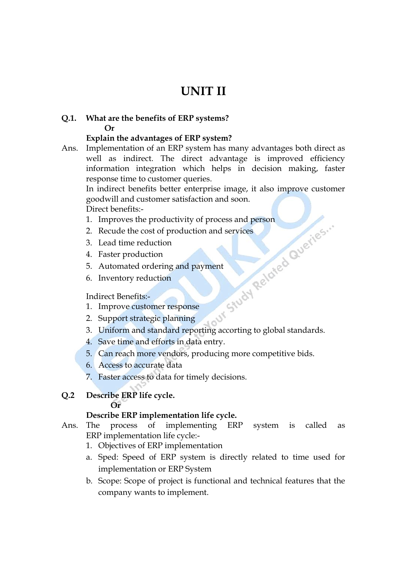## **UNIT II**

## **Q.1. What are the benefits of ERP systems? Or**

## **Explain the advantages of ERP system?**

Ans. Implementation of an ERP system has many advantages both direct as well as indirect. The direct advantage is improved efficiency information integration which helps in decision making, faster response time to customer queries.

In indirect benefits better enterprise image, it also improve customer goodwill and customer satisfaction and soon. Direct benefits:-

- 
- 2. Recude the cost of production and services
- 3. Lead time reduction
- 4. Faster production
- 5. Automated ordering and payment
- 6. Inventory reduction

#### Indirect Benefits:-

- 1. Improve customer response
- 2. Support strategic planning
- 1. Improves the productivity of process and person<br>
2. Recude the cost of production and services<br>
3. Lead time reduction<br>
4. Faster production<br>
5. Automated ordering and payment<br>
6. Inventory reduction<br>
Indirect Benefits 3. Uniform and standard reporting accorting to global standards.
- 4. Save time and efforts in data entry.
- 5. Can reach more vendors, producing more competitive bids.
- 6. Access to accurate data
- 7. Faster access to data for timely decisions.
- **Q.2 Describe ERP life cycle. Or**

#### **Describe ERP implementation life cycle.**

- Ans. The process of implementing ERP system is called as ERP implementation life cycle:-
	- 1. Objectives of ERP implementation
	- a. Sped: Speed of ERP system is directly related to time used for implementation or ERP System
	- b. Scope: Scope of project is functional and technical features that the company wants to implement.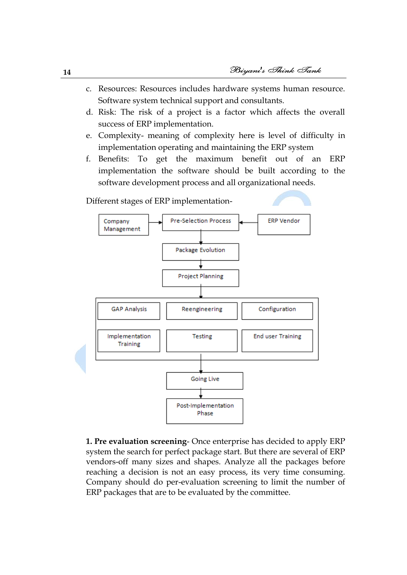- c. Resources: Resources includes hardware systems human resource. Software system technical support and consultants.
- d. Risk: The risk of a project is a factor which affects the overall success of ERP implementation.
- e. Complexity- meaning of complexity here is level of difficulty in implementation operating and maintaining the ERP system
- f. Benefits: To get the maximum benefit out of an ERP implementation the software should be built according to the software development process and all organizational needs.



**1. Pre evaluation screening**- Once enterprise has decided to apply ERP system the search for perfect package start. But there are several of ERP vendors-off many sizes and shapes. Analyze all the packages before reaching a decision is not an easy process, its very time consuming. Company should do per-evaluation screening to limit the number of ERP packages that are to be evaluated by the committee.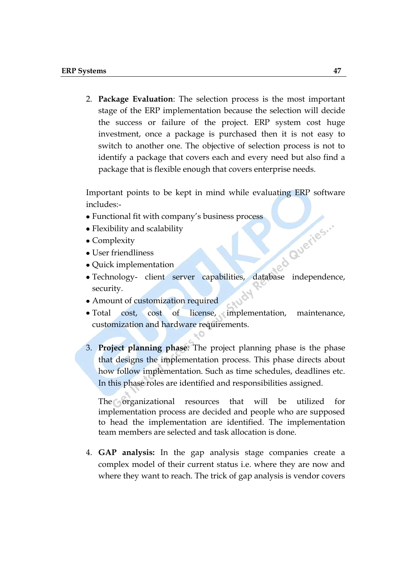2. **Package Evaluation**: The selection process is the most important stage of the ERP implementation because the selection will decide the success or failure of the project. ERP system cost huge investment, once a package is purchased then it is not easy to switch to another one. The objective of selection process is not to identify a package that covers each and every need but also find a package that is flexible enough that covers enterprise needs.

Important points to be kept in mind while evaluating ERP software includes:-

- Functional fit with company's business process
- Flexibility and scalability
- Complexity
- User friendliness
- Quick implementation
- Technology- client server capabilities, database independence, security.
- Amount of customization required
- Total cost, cost of license, implementation, maintenance, customization and hardware requirements.
- 3. **Project planning phase**: The project planning phase is the phase that designs the implementation process. This phase directs about how follow implementation. Such as time schedules, deadlines etc. In this phase roles are identified and responsibilities assigned.

The organizational resources that will be utilized for implementation process are decided and people who are supposed to head the implementation are identified. The implementation team members are selected and task allocation is done.

4. **GAP analysis:** In the gap analysis stage companies create a complex model of their current status i.e. where they are now and where they want to reach. The trick of gap analysis is vendor covers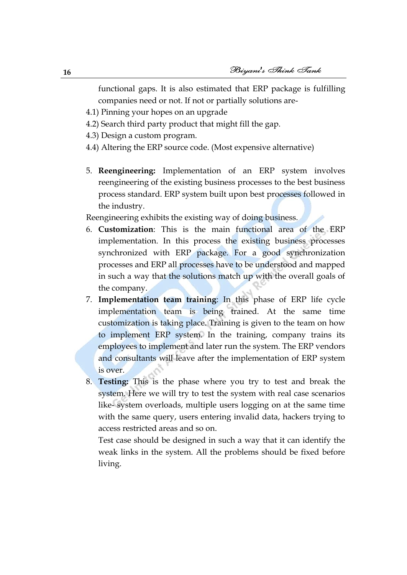functional gaps. It is also estimated that ERP package is fulfilling companies need or not. If not or partially solutions are-

- 4.1) Pinning your hopes on an upgrade
- 4.2) Search third party product that might fill the gap.
- 4.3) Design a custom program.
- 4.4) Altering the ERP source code. (Most expensive alternative)
- 5. **Reengineering:** Implementation of an ERP system involves reengineering of the existing business processes to the best business process standard. ERP system built upon best processes followed in the industry.

Reengineering exhibits the existing way of doing business.

- 6. **Customization**: This is the main functional area of the ERP implementation. In this process the existing business processes synchronized with ERP package. For a good synchronization processes and ERP all processes have to be understood and mapped in such a way that the solutions match up with the overall goals of the company.
- 7. **Implementation team training**: In this phase of ERP life cycle implementation team is being trained. At the same time customization is taking place. Training is given to the team on how to implement ERP system. In the training, company trains its employees to implement and later run the system. The ERP vendors and consultants will leave after the implementation of ERP system is over.
- 8. **Testing:** This is the phase where you try to test and break the system. Here we will try to test the system with real case scenarios like- system overloads, multiple users logging on at the same time with the same query, users entering invalid data, hackers trying to access restricted areas and so on.

Test case should be designed in such a way that it can identify the weak links in the system. All the problems should be fixed before living.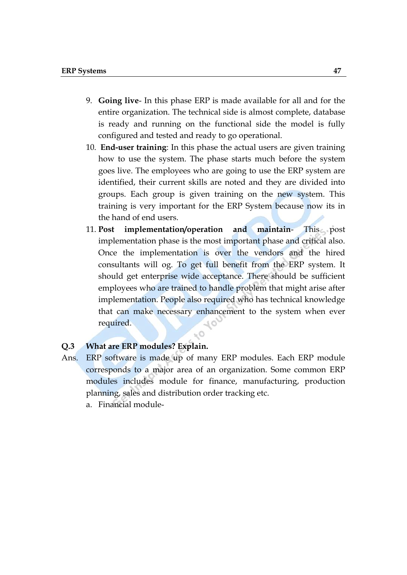- 9. **Going live** In this phase ERP is made available for all and for the entire organization. The technical side is almost complete, database is ready and running on the functional side the model is fully configured and tested and ready to go operational.
- 10. **End-user training**: In this phase the actual users are given training how to use the system. The phase starts much before the system goes live. The employees who are going to use the ERP system are identified, their current skills are noted and they are divided into groups. Each group is given training on the new system. This training is very important for the ERP System because now its in the hand of end users.
- 11. **Post implementation/operation and maintain** This post implementation phase is the most important phase and critical also. Once the implementation is over the vendors and the hired consultants will og. To get full benefit from the ERP system. It should get enterprise wide acceptance. There should be sufficient employees who are trained to handle problem that might arise after implementation. People also required who has technical knowledge that can make necessary enhancement to the system when ever required.

#### **Q.3 What are ERP modules? Explain.**

Ans. ERP software is made up of many ERP modules. Each ERP module corresponds to a major area of an organization. Some common ERP modules includes module for finance, manufacturing, production planning, sales and distribution order tracking etc.

 $\mathbb{R}^{\bullet}$ 

a. Financial module-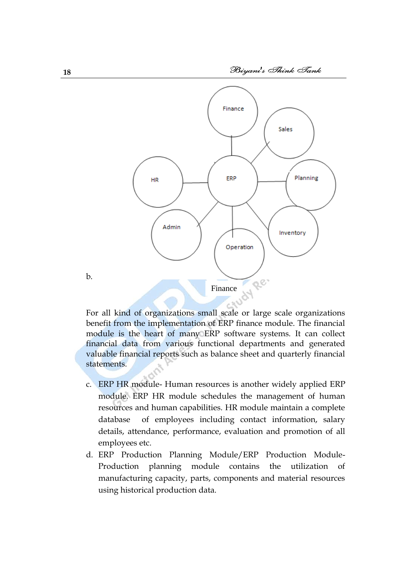

For all kind of organizations small scale or large scale organizations benefit from the implementation of ERP finance module. The financial module is the heart of many ERP software systems. It can collect financial data from various functional departments and generated valuable financial reports such as balance sheet and quarterly financial statements.

- c. ERP HR module- Human resources is another widely applied ERP module. ERP HR module schedules the management of human resources and human capabilities. HR module maintain a complete database of employees including contact information, salary details, attendance, performance, evaluation and promotion of all employees etc.
- d. ERP Production Planning Module/ERP Production Module-Production planning module contains the utilization of manufacturing capacity, parts, components and material resources using historical production data.

b.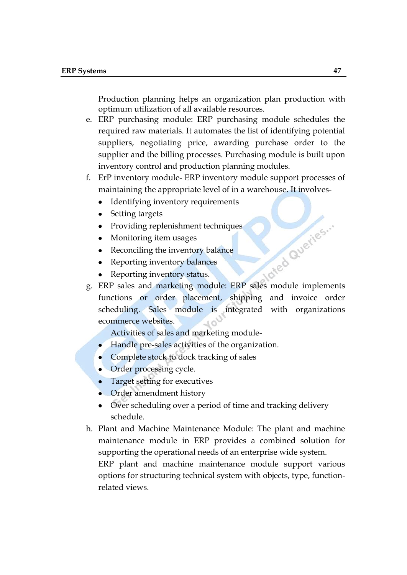Production planning helps an organization plan production with optimum utilization of all available resources.

- e. ERP purchasing module: ERP purchasing module schedules the required raw materials. It automates the list of identifying potential suppliers, negotiating price, awarding purchase order to the supplier and the billing processes. Purchasing module is built upon inventory control and production planning modules.
- f. ErP inventory module- ERP inventory module support processes of maintaining the appropriate level of in a warehouse. It involves-
	- Identifying inventory requirements  $\bullet$
	- Setting targets
	- Providing replenishment techniques
	- Monitoring item usages
	- Reconciling the inventory balance  $\bullet$
	- Reporting inventory balances
	- Reporting inventory status.
- But in the sales and marketing module: ERP sales module implements functions or order placement, shipping and invoice order scheduling. Sales module is integrated with organizations ecommerce websites.

Activities of sales and marketing module-

- Handle pre-sales activities of the organization.
- Complete stock to dock tracking of sales
- Order processing cycle.
- Target setting for executives
- Order amendment history
- Over scheduling over a period of time and tracking delivery schedule.
- h. Plant and Machine Maintenance Module: The plant and machine maintenance module in ERP provides a combined solution for supporting the operational needs of an enterprise wide system. ERP plant and machine maintenance module support various

options for structuring technical system with objects, type, functionrelated views.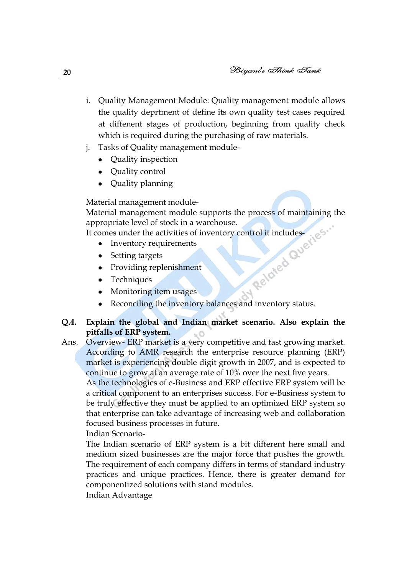- i. Quality Management Module: Quality management module allows the quality deprtment of define its own quality test cases required at diffenent stages of production, beginning from quality check which is required during the purchasing of raw materials.
- j. Tasks of Quality management module-
	- Quality inspection
	- Quality control
	- Quality planning

Material management module-

Material management module supports the process of maintaining the<br>appropriate level of stock in a warehouse.<br>It comes under the activities of inventory control it includes<br>• Inventory requirements<br>• Setting targets<br>• Prov appropriate level of stock in a warehouse.

It comes under the activities of inventory control it includes-

- $\bullet$ Inventory requirements
- Setting targets  $\bullet$
- Providing replenishment
- Techniques
- Monitoring item usages
- Reconciling the inventory balances and inventory status.  $\bullet$

### **Q.4. Explain the global and Indian market scenario. Also explain the pitfalls of ERP system.**

Ans. Overview- ERP market is a very competitive and fast growing market. According to AMR research the enterprise resource planning (ERP) market is experiencing double digit growth in 2007, and is expected to continue to grow at an average rate of 10% over the next five years.

As the technologies of e-Business and ERP effective ERP system will be a critical component to an enterprises success. For e-Business system to be truly effective they must be applied to an optimized ERP system so that enterprise can take advantage of increasing web and collaboration focused business processes in future.

Indian Scenario-

The Indian scenario of ERP system is a bit different here small and medium sized businesses are the major force that pushes the growth. The requirement of each company differs in terms of standard industry practices and unique practices. Hence, there is greater demand for componentized solutions with stand modules.

Indian Advantage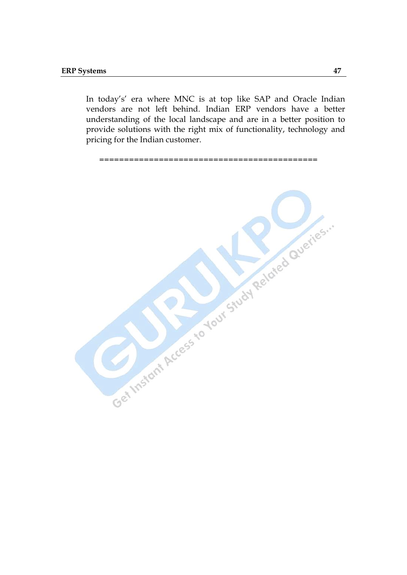In today's' era where MNC is at top like SAP and Oracle Indian vendors are not left behind. Indian ERP vendors have a better understanding of the local landscape and are in a better position to provide solutions with the right mix of functionality, technology and pricing for the Indian customer.

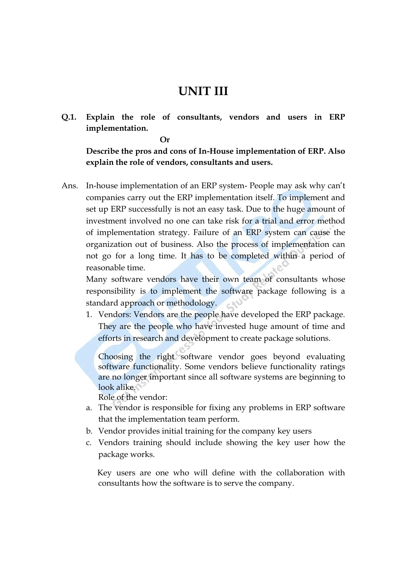## **UNIT III**

**Q.1. Explain the role of consultants, vendors and users in ERP implementation.**

**Or**

**Describe the pros and cons of In-House implementation of ERP. Also explain the role of vendors, consultants and users.**

Ans. In-house implementation of an ERP system- People may ask why can"t companies carry out the ERP implementation itself. To implement and set up ERP successfully is not an easy task. Due to the huge amount of investment involved no one can take risk for a trial and error method of implementation strategy. Failure of an ERP system can cause the organization out of business. Also the process of implementation can not go for a long time. It has to be completed within a period of reasonable time.

Many software vendors have their own team of consultants whose responsibility is to implement the software package following is a standard approach or methodology.

1. Vendors: Vendors are the people have developed the ERP package. They are the people who have invested huge amount of time and efforts in research and development to create package solutions.

Choosing the right software vendor goes beyond evaluating software functionality. Some vendors believe functionality ratings are no longer important since all software systems are beginning to look alike.

Role of the vendor:

- a. The vendor is responsible for fixing any problems in ERP software that the implementation team perform.
- b. Vendor provides initial training for the company key users
- c. Vendors training should include showing the key user how the package works.

 Key users are one who will define with the collaboration with consultants how the software is to serve the company.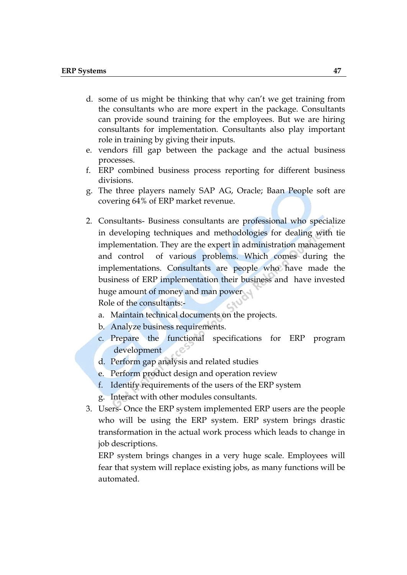- d. some of us might be thinking that why can't we get training from the consultants who are more expert in the package. Consultants can provide sound training for the employees. But we are hiring consultants for implementation. Consultants also play important role in training by giving their inputs.
- e. vendors fill gap between the package and the actual business processes.
- f. ERP combined business process reporting for different business divisions.
- g. The three players namely SAP AG, Oracle; Baan People soft are covering 64% of ERP market revenue.
- 2. Consultants- Business consultants are professional who specialize in developing techniques and methodologies for dealing with tie implementation. They are the expert in administration management and control of various problems. Which comes during the implementations. Consultants are people who have made the business of ERP implementation their business and have invested huge amount of money and man power Role of the consultants:
	- a. Maintain technical documents on the projects.
	- b. Analyze business requirements.
	- c. Prepare the functional specifications for ERP program development - C
	- d. Perform gap analysis and related studies
	- e. Perform product design and operation review
	- f. Identify requirements of the users of the ERP system
	- g. Interact with other modules consultants.
- 3. Users- Once the ERP system implemented ERP users are the people who will be using the ERP system. ERP system brings drastic transformation in the actual work process which leads to change in job descriptions.

ERP system brings changes in a very huge scale. Employees will fear that system will replace existing jobs, as many functions will be automated.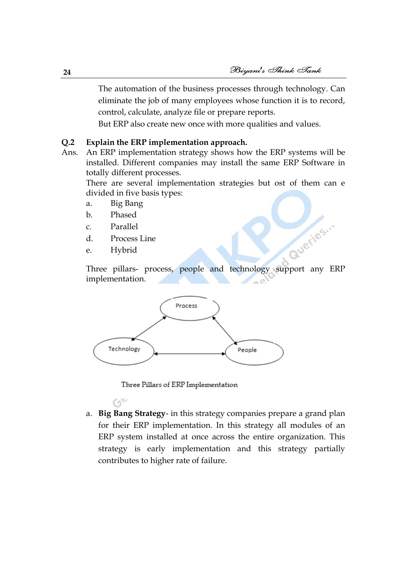The automation of the business processes through technology. Can eliminate the job of many employees whose function it is to record, control, calculate, analyze file or prepare reports.

But ERP also create new once with more qualities and values.

## **Q.2 Explain the ERP implementation approach.**

Ans. An ERP implementation strategy shows how the ERP systems will be installed. Different companies may install the same ERP Software in totally different processes.

There are several implementation strategies but ost of them can e divided in five basis types:

- a. Big Bang
- b. Phased
- c. Parallel
- d. Process Line
- e. Hybrid

Queries ... Three pillars- process, people and technology support any ERP implementation.



Three Pillars of ERP Implementation

a. **Big Bang Strategy**- in this strategy companies prepare a grand plan for their ERP implementation. In this strategy all modules of an ERP system installed at once across the entire organization. This strategy is early implementation and this strategy partially contributes to higher rate of failure.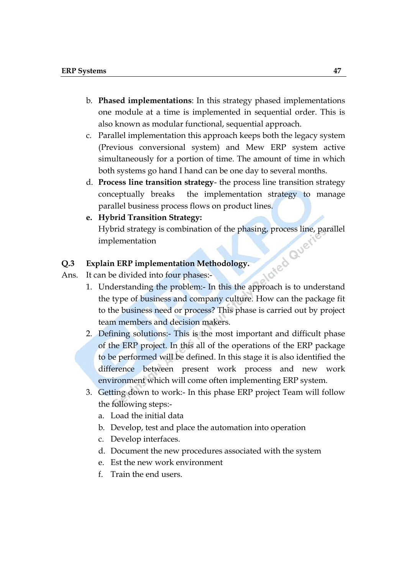- b. **Phased implementations**: In this strategy phased implementations one module at a time is implemented in sequential order. This is also known as modular functional, sequential approach.
- c. Parallel implementation this approach keeps both the legacy system (Previous conversional system) and Mew ERP system active simultaneously for a portion of time. The amount of time in which both systems go hand I hand can be one day to several months.
- d. **Process line transition strategy** the process line transition strategy conceptually breaks the implementation strategy to manage parallel business process flows on product lines.
- **e. Hybrid Transition Strategy:** Hybrid strategy is combination of the phasing, process line, parallel<br>implementation<br>plain ERP implementation Methodolom<br>an be divided into form implementation

### **Q.3 Explain ERP implementation Methodology.**

Ans. It can be divided into four phases:-

- 1. Understanding the problem:- In this the approach is to understand the type of business and company culture. How can the package fit to the business need or process? This phase is carried out by project team members and decision makers.
- 2. Defining solutions:- This is the most important and difficult phase of the ERP project. In this all of the operations of the ERP package to be performed will be defined. In this stage it is also identified the difference between present work process and new work environment which will come often implementing ERP system.
- 3. Getting down to work:- In this phase ERP project Team will follow the following steps:
	- a. Load the initial data
	- b. Develop, test and place the automation into operation
	- c. Develop interfaces.
	- d. Document the new procedures associated with the system
	- e. Est the new work environment
	- f. Train the end users.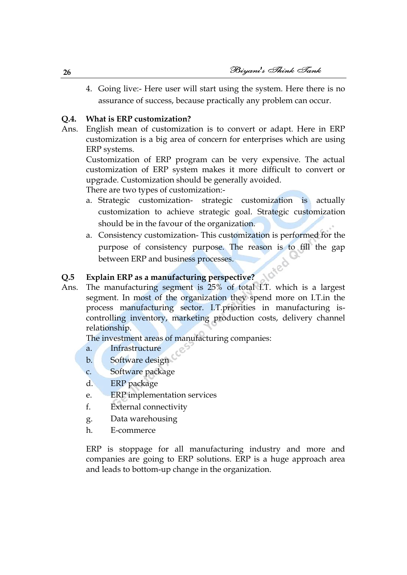4. Going live:- Here user will start using the system. Here there is no assurance of success, because practically any problem can occur.

## **Q.4. What is ERP customization?**

Ans. English mean of customization is to convert or adapt. Here in ERP customization is a big area of concern for enterprises which are using ERP systems.

Customization of ERP program can be very expensive. The actual customization of ERP system makes it more difficult to convert or upgrade. Customization should be generally avoided.

There are two types of customization:-

- a. Strategic customization- strategic customization is actually customization to achieve strategic goal. Strategic customization should be in the favour of the organization.
- a. Consistency customization- This customization is performed for the purpose of consistency purpose. The reason is to fill the gap between ERP and business processes.

### **Q.5 Explain ERP as a manufacturing perspective?**

Ans. The manufacturing segment is 25% of total I.T. which is a largest segment. In most of the organization they spend more on I.T.in the process manufacturing sector. I.T.priorities in manufacturing iscontrolling inventory, marketing production costs, delivery channel relationship.

The investment areas of manufacturing companies:

- a. Infrastructure
- b. Software design
- c. Software package
- d. ERP package
- e. ERP implementation services
- f. External connectivity
- g. Data warehousing
- h. E-commerce

ERP is stoppage for all manufacturing industry and more and companies are going to ERP solutions. ERP is a huge approach area and leads to bottom-up change in the organization.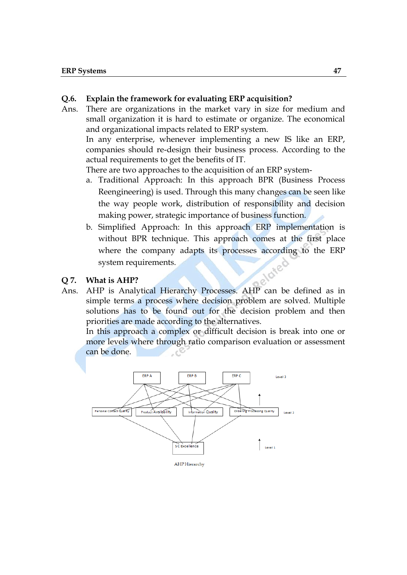#### **Q.6. Explain the framework for evaluating ERP acquisition?**

Ans. There are organizations in the market vary in size for medium and small organization it is hard to estimate or organize. The economical and organizational impacts related to ERP system.

In any enterprise, whenever implementing a new IS like an ERP, companies should re-design their business process. According to the actual requirements to get the benefits of IT.

There are two approaches to the acquisition of an ERP system-

- a. Traditional Approach: In this approach BPR (Business Process Reengineering) is used. Through this many changes can be seen like the way people work, distribution of responsibility and decision making power, strategic importance of business function.
- b. Simplified Approach: In this approach ERP implementation is without BPR technique. This approach comes at the first place where the company adapts its processes according to the ERP system requirements.
- **Q 7. What is AHP?**
- Ans. AHP is Analytical Hierarchy Processes. AHP can be defined as in simple terms a process where decision problem are solved. Multiple solutions has to be found out for the decision problem and then priorities are made according to the alternatives.

In this approach a complex or difficult decision is break into one or more levels where through ratio comparison evaluation or assessment can be done.

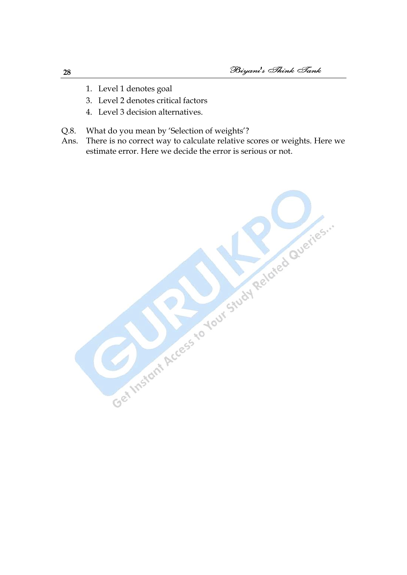- 1. Level 1 denotes goal
- 3. Level 2 denotes critical factors
- 4. Level 3 decision alternatives.
- Q.8. What do you mean by 'Selection of weights'?
- Ans. There is no correct way to calculate relative scores or weights. Here we estimate error. Here we decide the error is serious or not.

Get Instant Access to Your Study Related Queries."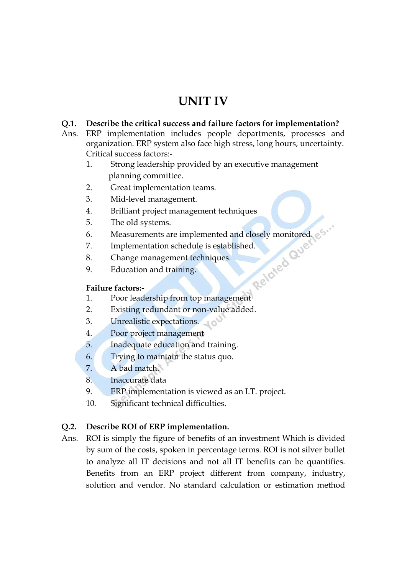## **UNIT IV**

## **Q.1. Describe the critical success and failure factors for implementation?**

- Ans. ERP implementation includes people departments, processes and organization. ERP system also face high stress, long hours, uncertainty. Critical success factors:-
	- 1. Strong leadership provided by an executive management planning committee.
	- 2. Great implementation teams.
	- 3. Mid-level management.
	- 4. Brilliant project management techniques
	- 5. The old systems.
	- 6. Measurements are implemented and closely monitored.  $\circ$ <sup>5</sup><br>
	7. Implementation schedule is established.<br>
	8. Change management techniques.<br>
	9. Education and training.<br> **Failure factors:**
	- 7. Implementation schedule is established.
	- 8. Change management techniques.
	- 9. Education and training.

## **Failure factors:-**

- 1. Poor leadership from top management
- 2. Existing redundant or non-value added.
- 3. Unrealistic expectations.
- 4. Poor project management
- 5. Inadequate education and training.
- 6. Trying to maintain the status quo.
- 7. A bad match.
- 8. Inaccurate data
- 9. ERP implementation is viewed as an I.T. project.
- 10. Significant technical difficulties.

## **Q.2. Describe ROI of ERP implementation.**

Ans. ROI is simply the figure of benefits of an investment Which is divided by sum of the costs, spoken in percentage terms. ROI is not silver bullet to analyze all IT decisions and not all IT benefits can be quantifies. Benefits from an ERP project different from company, industry, solution and vendor. No standard calculation or estimation method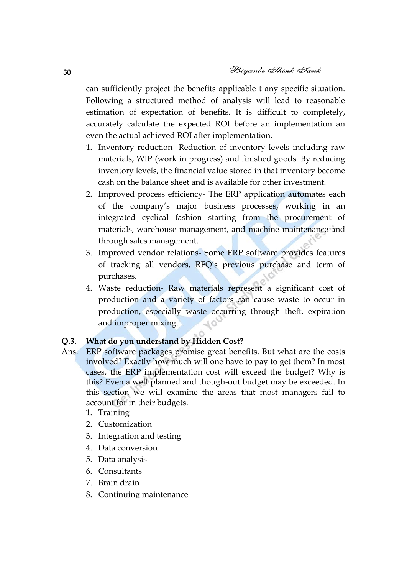can sufficiently project the benefits applicable t any specific situation. Following a structured method of analysis will lead to reasonable estimation of expectation of benefits. It is difficult to completely, accurately calculate the expected ROI before an implementation an even the actual achieved ROI after implementation.

- 1. Inventory reduction- Reduction of inventory levels including raw materials, WIP (work in progress) and finished goods. By reducing inventory levels, the financial value stored in that inventory become cash on the balance sheet and is available for other investment.
- 2. Improved process efficiency- The ERP application automates each of the company"s major business processes, working in an integrated cyclical fashion starting from the procurement of materials, warehouse management, and machine maintenance and through sales management.
- 3. Improved vendor relations- Some ERP software provides features of tracking all vendors, RFQ"s previous purchase and term of purchases.
- 4. Waste reduction- Raw materials represent a significant cost of production and a variety of factors can cause waste to occur in production, especially waste occurring through theft, expiration and improper mixing.

## **Q.3. What do you understand by Hidden Cost?**

- Ans. ERP software packages promise great benefits. But what are the costs involved? Exactly how much will one have to pay to get them? In most cases, the ERP implementation cost will exceed the budget? Why is this? Even a well planned and though-out budget may be exceeded. In this section we will examine the areas that most managers fail to account for in their budgets.
	- 1. Training
	- 2. Customization
	- 3. Integration and testing
	- 4. Data conversion
	- 5. Data analysis
	- 6. Consultants
	- 7. Brain drain
	- 8. Continuing maintenance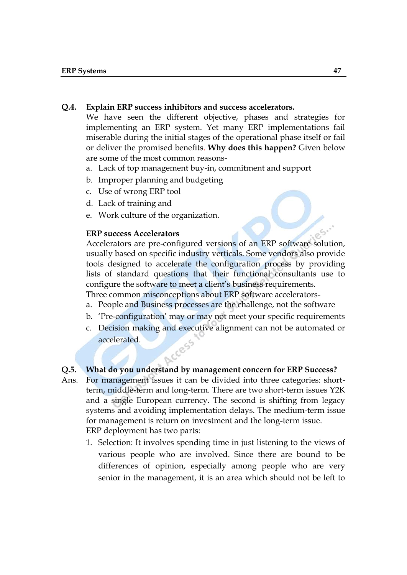#### **Q.4. Explain ERP success inhibitors and success accelerators.**

We have seen the different objective, phases and strategies for implementing an ERP system. Yet many ERP implementations fail miserable during the initial stages of the operational phase itself or fail or deliver the promised benefits. **Why does this happen?** Given below are some of the most common reasons-

- a. Lack of top management buy-in, commitment and support
- b. Improper planning and budgeting
- c. Use of wrong ERP tool
- d. Lack of training and
- e. Work culture of the organization.

#### **ERP success Accelerators**

Accelerators are pre-configured versions of an ERP software solution, usually based on specific industry verticals. Some vendors also provide tools designed to accelerate the configuration process by providing lists of standard questions that their functional consultants use to configure the software to meet a client's business requirements.

Three common misconceptions about ERP software accelerators-

- a. People and Business processes are the challenge, not the software
- b. 'Pre-configuration' may or may not meet your specific requirements
- c. Decision making and executive alignment can not be automated or accelerated.

### **Q.5. What do you understand by management concern for ERP Success?**

- Ans. For management issues it can be divided into three categories: shortterm, middle-term and long-term. There are two short-term issues Y2K and a single European currency. The second is shifting from legacy systems and avoiding implementation delays. The medium-term issue for management is return on investment and the long-term issue. ERP deployment has two parts:
	- 1. Selection: It involves spending time in just listening to the views of various people who are involved. Since there are bound to be differences of opinion, especially among people who are very senior in the management, it is an area which should not be left to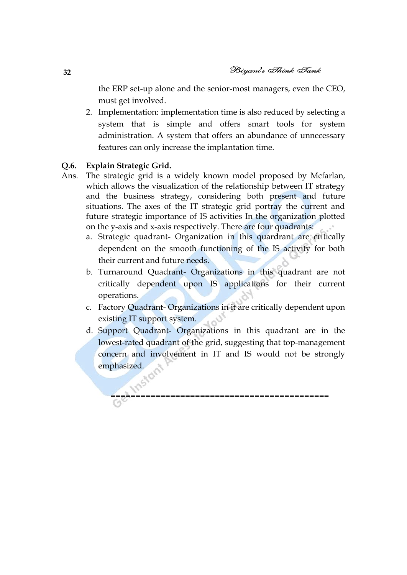the ERP set-up alone and the senior-most managers, even the CEO, must get involved.

2. Implementation: implementation time is also reduced by selecting a system that is simple and offers smart tools for system administration. A system that offers an abundance of unnecessary features can only increase the implantation time.

### **Q.6. Explain Strategic Grid.**

- Ans. The strategic grid is a widely known model proposed by Mcfarlan, which allows the visualization of the relationship between IT strategy and the business strategy, considering both present and future situations. The axes of the IT strategic grid portray the current and future strategic importance of IS activities In the organization plotted on the y-axis and x-axis respectively. There are four quadrants:
	- a. Strategic quadrant- Organization in this quardrant are critically dependent on the smooth functioning of the IS activity for both their current and future needs.
	- b. Turnaround Quadrant- Organizations in this quadrant are not critically dependent upon IS applications for their current operations.
	- c. Factory Quadrant- Organizations in it are critically dependent upon existing IT support system.
	- d. Support Quadrant- Organizations in this quadrant are in the lowest-rated quadrant of the grid, suggesting that top-management concern and involvement in IT and IS would not be strongly emphasized.

====================================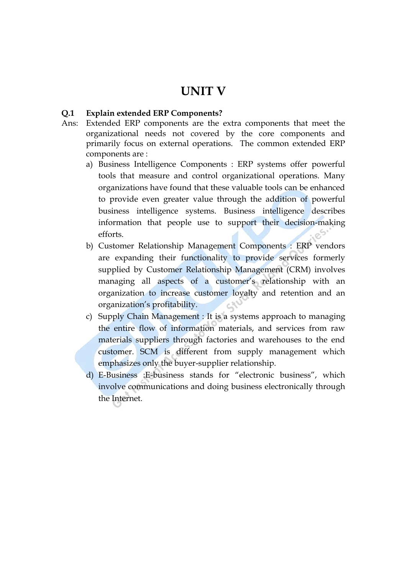## **UNIT V**

#### **Q.1 Explain extended ERP Components?**

- Ans: Extended ERP components are the extra components that meet the organizational needs not covered by the core components and primarily focus on external operations. The common extended ERP components are :
	- a) Business Intelligence Components : ERP systems offer powerful tools that measure and control organizational operations. Many organizations have found that these valuable tools can be enhanced to provide even greater value through the addition of powerful business intelligence systems. Business intelligence describes information that people use to support their decision-making efforts.
	- b) Customer Relationship Management Components : ERP vendors are expanding their functionality to provide services formerly supplied by Customer Relationship Management (CRM) involves managing all aspects of a customer's relationship with an organization to increase customer loyalty and retention and an organization"s profitability.
	- c) Supply Chain Management : It is a systems approach to managing the entire flow of information materials, and services from raw materials suppliers through factories and warehouses to the end customer. SCM is different from supply management which emphasizes only the buyer-supplier relationship.
	- d) E-Business :E-business stands for "electronic business", which involve communications and doing business electronically through the Internet.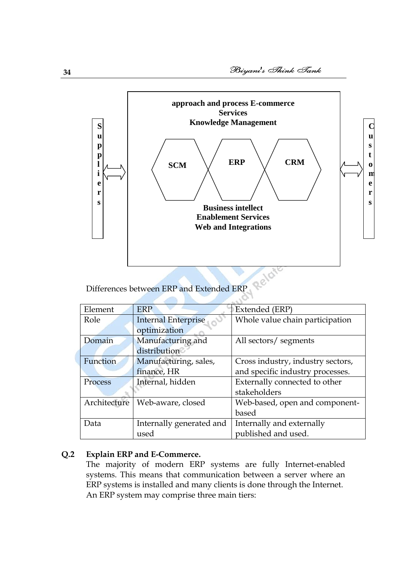

Differences between ERP and Extended ERP

| Element      | <b>ERP</b>                 | <b>Extended</b> (ERP)             |
|--------------|----------------------------|-----------------------------------|
| Role         | <b>Internal Enterprise</b> | Whole value chain participation   |
|              | optimization               |                                   |
| Domain       | Manufacturing and          | All sectors/ segments             |
|              | distribution               |                                   |
| Function     | Manufacturing, sales,      | Cross industry, industry sectors, |
|              | finance, HR                | and specific industry processes.  |
| Process      | Internal, hidden           | Externally connected to other     |
|              |                            | stakeholders                      |
| Architecture | Web-aware, closed          | Web-based, open and component-    |
|              |                            | based                             |
| Data         | Internally generated and   | Internally and externally         |
|              | used                       | published and used.               |

#### **Q.2 Explain ERP and E-Commerce.**

The majority of modern ERP systems are fully Internet-enabled systems. This means that communication between a server where an ERP systems is installed and many clients is done through the Internet. An ERP system may comprise three main tiers: